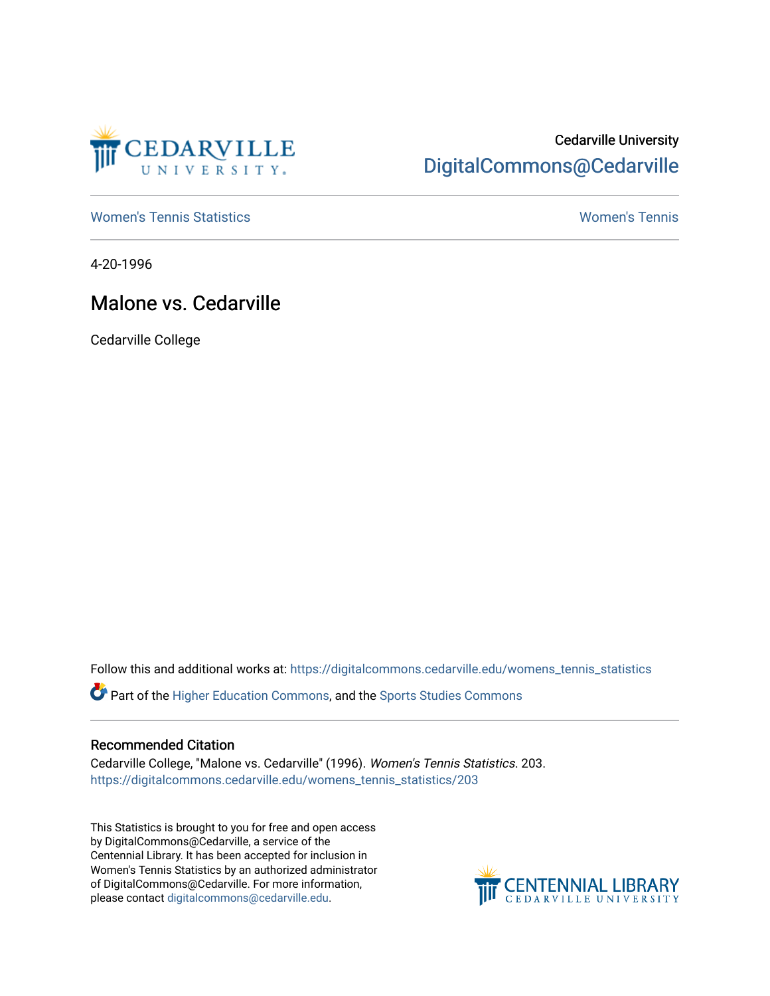

## Cedarville University [DigitalCommons@Cedarville](https://digitalcommons.cedarville.edu/)

[Women's Tennis Statistics](https://digitalcommons.cedarville.edu/womens_tennis_statistics) [Women's Tennis](https://digitalcommons.cedarville.edu/womens_tennis) 

4-20-1996

## Malone vs. Cedarville

Cedarville College

Follow this and additional works at: [https://digitalcommons.cedarville.edu/womens\\_tennis\\_statistics](https://digitalcommons.cedarville.edu/womens_tennis_statistics?utm_source=digitalcommons.cedarville.edu%2Fwomens_tennis_statistics%2F203&utm_medium=PDF&utm_campaign=PDFCoverPages) 

Part of the [Higher Education Commons,](http://network.bepress.com/hgg/discipline/1245?utm_source=digitalcommons.cedarville.edu%2Fwomens_tennis_statistics%2F203&utm_medium=PDF&utm_campaign=PDFCoverPages) and the [Sports Studies Commons](http://network.bepress.com/hgg/discipline/1198?utm_source=digitalcommons.cedarville.edu%2Fwomens_tennis_statistics%2F203&utm_medium=PDF&utm_campaign=PDFCoverPages) 

#### Recommended Citation

Cedarville College, "Malone vs. Cedarville" (1996). Women's Tennis Statistics. 203. [https://digitalcommons.cedarville.edu/womens\\_tennis\\_statistics/203](https://digitalcommons.cedarville.edu/womens_tennis_statistics/203?utm_source=digitalcommons.cedarville.edu%2Fwomens_tennis_statistics%2F203&utm_medium=PDF&utm_campaign=PDFCoverPages) 

This Statistics is brought to you for free and open access by DigitalCommons@Cedarville, a service of the Centennial Library. It has been accepted for inclusion in Women's Tennis Statistics by an authorized administrator of DigitalCommons@Cedarville. For more information, please contact [digitalcommons@cedarville.edu](mailto:digitalcommons@cedarville.edu).